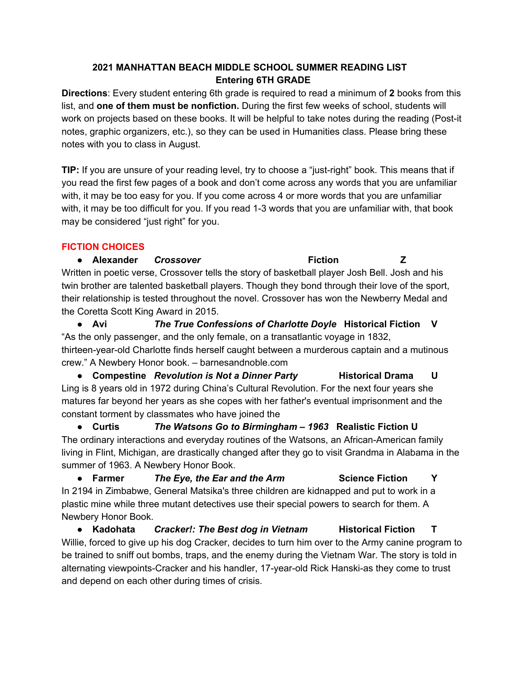## **2021 MANHATTAN BEACH MIDDLE SCHOOL SUMMER READING LIST Entering 6TH GRADE**

**Directions**: Every student entering 6th grade is required to read a minimum of **2** books from this list, and **one of them must be nonfiction.** During the first few weeks of school, students will work on projects based on these books. It will be helpful to take notes during the reading (Post-it notes, graphic organizers, etc.), so they can be used in Humanities class. Please bring these notes with you to class in August.

**TIP:** If you are unsure of your reading level, try to choose a "just-right" book. This means that if you read the first few pages of a book and don't come across any words that you are unfamiliar with, it may be too easy for you. If you come across 4 or more words that you are unfamiliar with, it may be too difficult for you. If you read 1-3 words that you are unfamiliar with, that book may be considered "just right" for you.

## **FICTION CHOICES**

**● Alexander** *Crossover* **Fiction Z** Written in poetic verse, Crossover tells the story of basketball player Josh Bell. Josh and his twin brother are talented basketball players. Though they bond through their love of the sport, their relationship is tested throughout the novel. Crossover has won the Newberry Medal and the Coretta Scott King Award in 2015.

**● Avi** *The True Confessions of Charlotte Doyle* **Historical Fiction V** "As the only passenger, and the only female, on a transatlantic voyage in 1832, thirteen-year-old Charlotte finds herself caught between a murderous captain and a mutinous crew." A Newbery Honor book. – barnesandnoble.com

**● Compestine** *Revolution is Not a Dinner Party* **Historical Drama U** Ling is 8 years old in 1972 during China's Cultural Revolution. For the next four years she matures far beyond her years as she copes with her father's eventual imprisonment and the constant torment by classmates who have joined the

**● Curtis** *The Watsons Go to Birmingham – 1963* **Realistic Fiction U** The ordinary interactions and everyday routines of the Watsons, an African-American family living in Flint, Michigan, are drastically changed after they go to visit Grandma in Alabama in the summer of 1963. A Newbery Honor Book.

**● Farmer** *The Eye, the Ear and the Arm* **Science Fiction Y** In 2194 in Zimbabwe, General Matsika's three children are kidnapped and put to work in a plastic mine while three mutant detectives use their special powers to search for them. A Newbery Honor Book.

**● Kadohata** *Cracker!: The Best dog in Vietnam* **Historical Fiction T** Willie, forced to give up his dog Cracker, decides to turn him over to the Army canine program to be trained to sniff out bombs, traps, and the enemy during the Vietnam War. The story is told in alternating viewpoints-Cracker and his handler, 17-year-old Rick Hanski-as they come to trust and depend on each other during times of crisis.